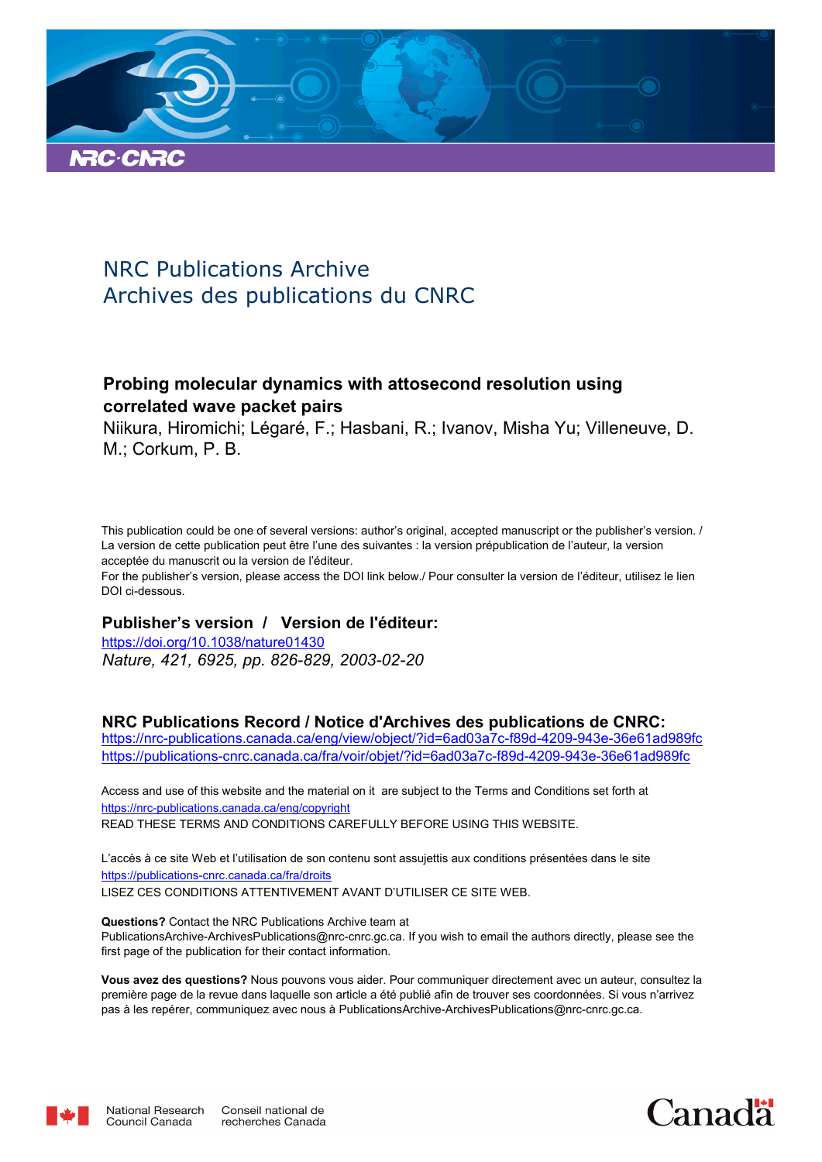

# NRC Publications Archive Archives des publications du CNRC

# **Probing molecular dynamics with attosecond resolution using correlated wave packet pairs**

Niikura, Hiromichi; Légaré, F.; Hasbani, R.; Ivanov, Misha Yu; Villeneuve, D. M.; Corkum, P. B.

This publication could be one of several versions: author's original, accepted manuscript or the publisher's version. / La version de cette publication peut être l'une des suivantes : la version prépublication de l'auteur, la version acceptée du manuscrit ou la version de l'éditeur.

For the publisher's version, please access the DOI link below./ Pour consulter la version de l'éditeur, utilisez le lien DOI ci-dessous.

# **Publisher's version / Version de l'éditeur:**

*Nature, 421, 6925, pp. 826-829, 2003-02-20* https://doi.org/10.1038/nature01430

# **NRC Publications Record / Notice d'Archives des publications de CNRC:**

https://nrc-publications.canada.ca/eng/view/object/?id=6ad03a7c-f89d-4209-943e-36e61ad989fc https://publications-cnrc.canada.ca/fra/voir/objet/?id=6ad03a7c-f89d-4209-943e-36e61ad989fc

READ THESE TERMS AND CONDITIONS CAREFULLY BEFORE USING THIS WEBSITE. https://nrc-publications.canada.ca/eng/copyright Access and use of this website and the material on it are subject to the Terms and Conditions set forth at

https://publications-cnrc.canada.ca/fra/droits L'accès à ce site Web et l'utilisation de son contenu sont assujettis aux conditions présentées dans le site LISEZ CES CONDITIONS ATTENTIVEMENT AVANT D'UTILISER CE SITE WEB.

**Questions?** Contact the NRC Publications Archive team at PublicationsArchive-ArchivesPublications@nrc-cnrc.gc.ca. If you wish to email the authors directly, please see the first page of the publication for their contact information.

**Vous avez des questions?** Nous pouvons vous aider. Pour communiquer directement avec un auteur, consultez la première page de la revue dans laquelle son article a été publié afin de trouver ses coordonnées. Si vous n'arrivez pas à les repérer, communiquez avec nous à PublicationsArchive-ArchivesPublications@nrc-cnrc.gc.ca.



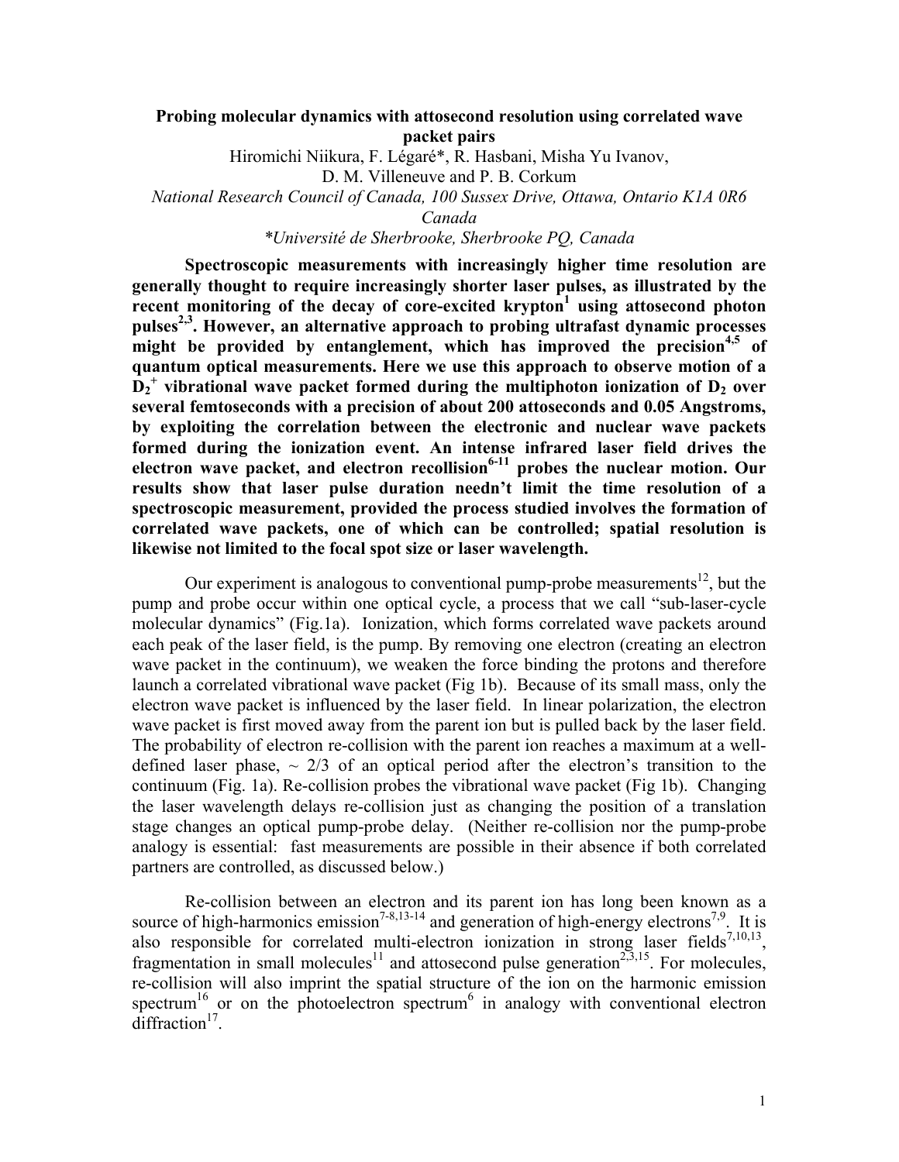# **Probing molecular dynamics with attosecond resolution using correlated wave packet pairs**

Hiromichi Niikura, F. Légaré\*, R. Hasbani, Misha Yu Ivanov,

D. M. Villeneuve and P. B. Corkum

*National Research Council of Canada, 100 Sussex Drive, Ottawa, Ontario K1A 0R6* 

*Canada* 

*\*Université de Sherbrooke, Sherbrooke PQ, Canada* 

**Spectroscopic measurements with increasingly higher time resolution are generally thought to require increasingly shorter laser pulses, as illustrated by the recent monitoring of the decay of core-excited krypton<sup>1</sup> using attosecond photon pulses2,3. However, an alternative approach to probing ultrafast dynamic processes might be provided by entanglement, which has improved the precision4,5 of quantum optical measurements. Here we use this approach to observe motion of a**   $\tilde{D}_2^+$  vibrational wave packet formed during the multiphoton ionization of  $D_2$  over **several femtoseconds with a precision of about 200 attoseconds and 0.05 Angstroms, by exploiting the correlation between the electronic and nuclear wave packets formed during the ionization event. An intense infrared laser field drives the electron wave packet, and electron recollision6-11 probes the nuclear motion. Our results show that laser pulse duration needn't limit the time resolution of a spectroscopic measurement, provided the process studied involves the formation of correlated wave packets, one of which can be controlled; spatial resolution is likewise not limited to the focal spot size or laser wavelength.** 

Our experiment is analogous to conventional pump-probe measurements<sup>12</sup>, but the pump and probe occur within one optical cycle, a process that we call "sub-laser-cycle molecular dynamics" (Fig.1a). Ionization, which forms correlated wave packets around each peak of the laser field, is the pump. By removing one electron (creating an electron wave packet in the continuum), we weaken the force binding the protons and therefore launch a correlated vibrational wave packet (Fig 1b). Because of its small mass, only the electron wave packet is influenced by the laser field. In linear polarization, the electron wave packet is first moved away from the parent ion but is pulled back by the laser field. The probability of electron re-collision with the parent ion reaches a maximum at a welldefined laser phase,  $\sim$  2/3 of an optical period after the electron's transition to the continuum (Fig. 1a). Re-collision probes the vibrational wave packet (Fig 1b). Changing the laser wavelength delays re-collision just as changing the position of a translation stage changes an optical pump-probe delay. (Neither re-collision nor the pump-probe analogy is essential: fast measurements are possible in their absence if both correlated partners are controlled, as discussed below.)

Re-collision between an electron and its parent ion has long been known as a source of high-harmonics emission<sup>7-8,13-14</sup> and generation of high-energy electrons<sup>7,9</sup>. It is also responsible for correlated multi-electron ionization in strong laser fields<sup>7,10,13</sup>, fragmentation in small molecules<sup>11</sup> and attosecond pulse generation<sup>2,5,15</sup>. For molecules, re-collision will also imprint the spatial structure of the ion on the harmonic emission spectrum<sup>16</sup> or on the photoelectron spectrum<sup>6</sup> in analogy with conventional electron  $diffraction<sup>17</sup>$ .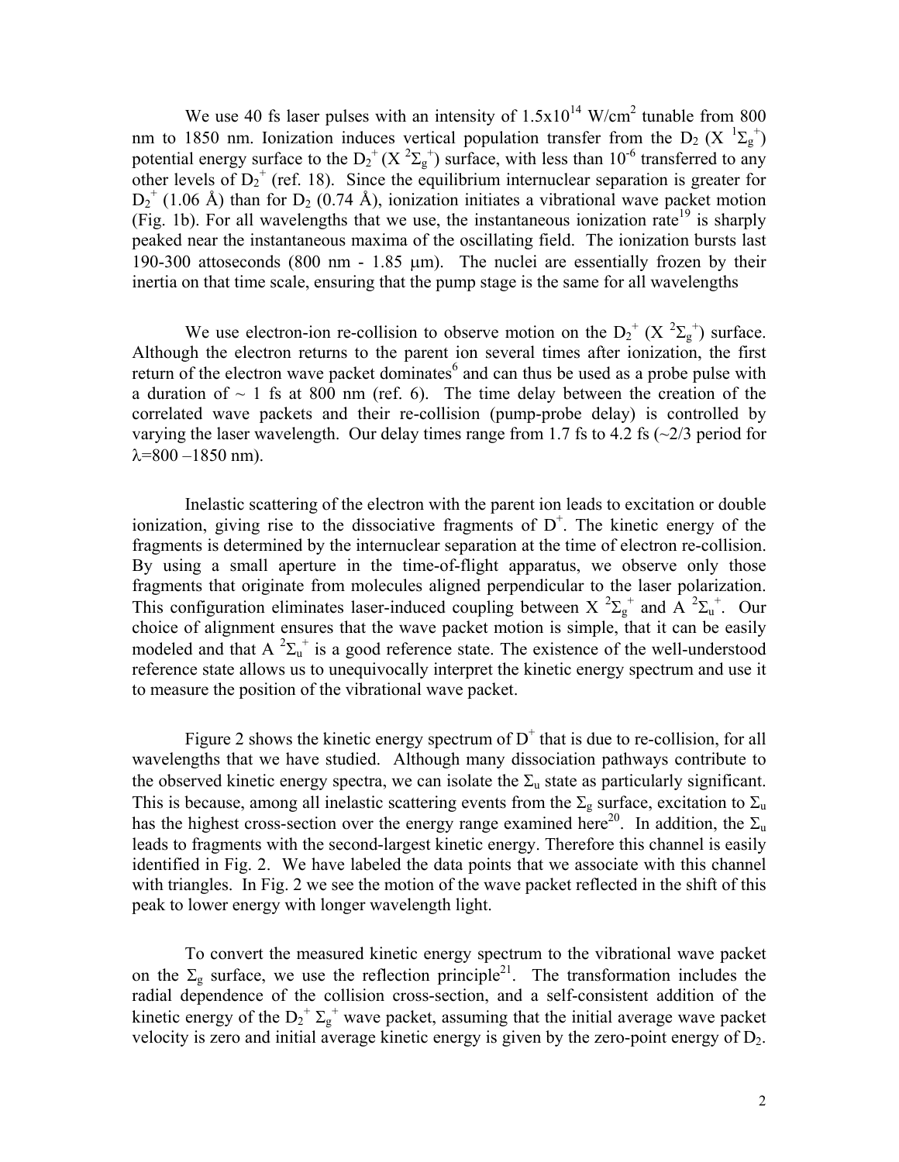We use 40 fs laser pulses with an intensity of  $1.5 \times 10^{14}$  W/cm<sup>2</sup> tunable from 800 nm to 1850 nm. Ionization induces vertical population transfer from the  $D_2(X^{-1}\Sigma_g^+)$ potential energy surface to the  $D_2^+(X^2\Sigma_g^+)$  surface, with less than 10<sup>-6</sup> transferred to any other levels of  $D_2^+$  (ref. 18). Since the equilibrium internuclear separation is greater for  $D_2^+$  (1.06 Å) than for  $D_2$  (0.74 Å), ionization initiates a vibrational wave packet motion (Fig. 1b). For all wavelengths that we use, the instantaneous ionization rate<sup>19</sup> is sharply peaked near the instantaneous maxima of the oscillating field. The ionization bursts last 190-300 attoseconds (800 nm - 1.85 µm). The nuclei are essentially frozen by their inertia on that time scale, ensuring that the pump stage is the same for all wavelengths

We use electron-ion re-collision to observe motion on the  $D_2^+(X^2\Sigma_g^+)$  surface. Although the electron returns to the parent ion several times after ionization, the first return of the electron wave packet dominates $6$  and can thus be used as a probe pulse with a duration of  $\sim$  1 fs at 800 nm (ref. 6). The time delay between the creation of the correlated wave packets and their re-collision (pump-probe delay) is controlled by varying the laser wavelength. Our delay times range from 1.7 fs to 4.2 fs  $\left(\frac{2}{3}\right)$  period for  $\lambda = 800 - 1850$  nm).

Inelastic scattering of the electron with the parent ion leads to excitation or double ionization, giving rise to the dissociative fragments of  $D^+$ . The kinetic energy of the fragments is determined by the internuclear separation at the time of electron re-collision. By using a small aperture in the time-of-flight apparatus, we observe only those fragments that originate from molecules aligned perpendicular to the laser polarization. This configuration eliminates laser-induced coupling between X  ${}^{2}\Sigma_{g}^{+}$  and A  ${}^{2}\Sigma_{u}^{+}$ . Our choice of alignment ensures that the wave packet motion is simple, that it can be easily modeled and that A  ${}^{2}\Sigma_{u}^{+}$  is a good reference state. The existence of the well-understood reference state allows us to unequivocally interpret the kinetic energy spectrum and use it to measure the position of the vibrational wave packet.

Figure 2 shows the kinetic energy spectrum of  $D^+$  that is due to re-collision, for all wavelengths that we have studied. Although many dissociation pathways contribute to the observed kinetic energy spectra, we can isolate the  $\Sigma_u$  state as particularly significant. This is because, among all inelastic scattering events from the  $\Sigma_{\rm g}$  surface, excitation to  $\Sigma_{\rm u}$ has the highest cross-section over the energy range examined here<sup>20</sup>. In addition, the  $\Sigma_u$ leads to fragments with the second-largest kinetic energy. Therefore this channel is easily identified in Fig. 2. We have labeled the data points that we associate with this channel with triangles. In Fig. 2 we see the motion of the wave packet reflected in the shift of this peak to lower energy with longer wavelength light.

 To convert the measured kinetic energy spectrum to the vibrational wave packet on the  $\Sigma_g$  surface, we use the reflection principle<sup>21</sup>. The transformation includes the radial dependence of the collision cross-section, and a self-consistent addition of the kinetic energy of the  $D_2^{\dagger} \Sigma_g^{\dagger}$  wave packet, assuming that the initial average wave packet velocity is zero and initial average kinetic energy is given by the zero-point energy of D2.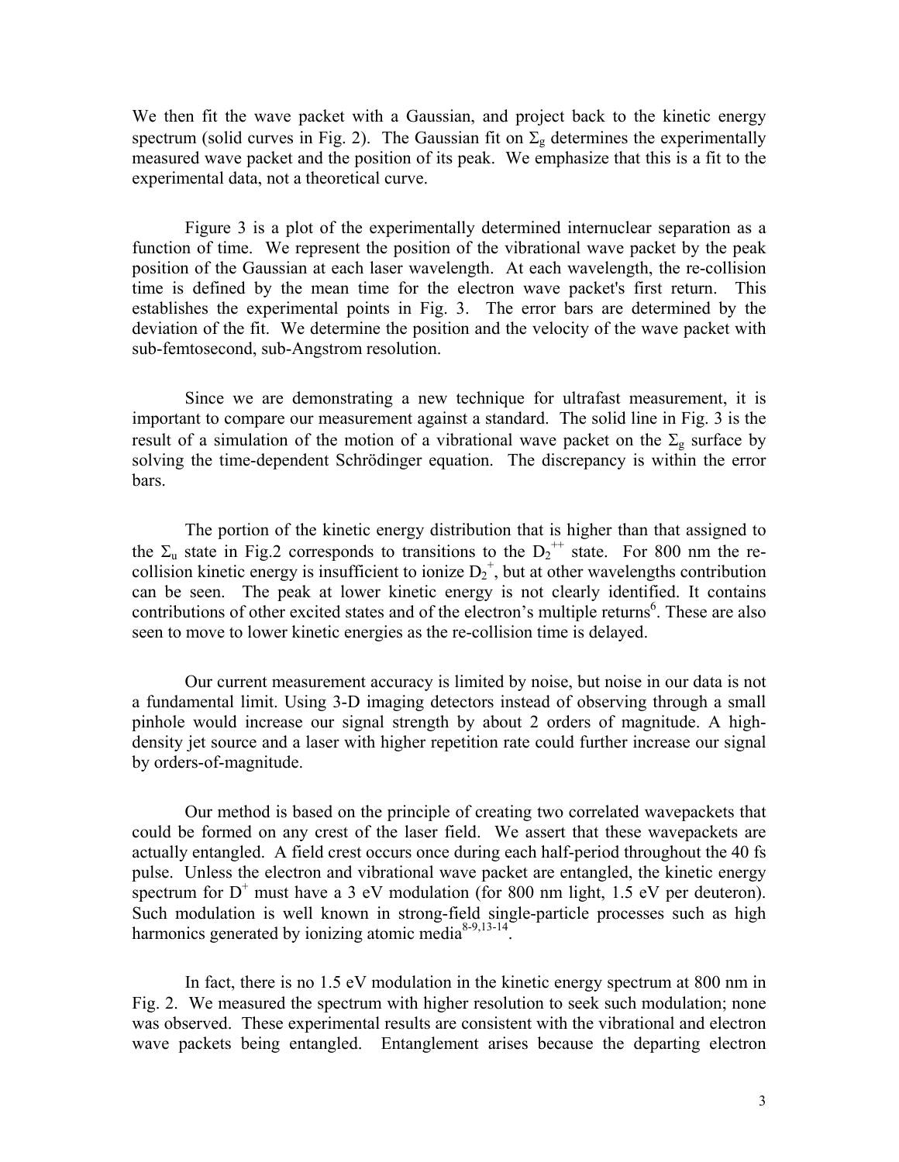We then fit the wave packet with a Gaussian, and project back to the kinetic energy spectrum (solid curves in Fig. 2). The Gaussian fit on  $\Sigma_{\rm g}$  determines the experimentally measured wave packet and the position of its peak. We emphasize that this is a fit to the experimental data, not a theoretical curve.

 Figure 3 is a plot of the experimentally determined internuclear separation as a function of time. We represent the position of the vibrational wave packet by the peak position of the Gaussian at each laser wavelength. At each wavelength, the re-collision time is defined by the mean time for the electron wave packet's first return. This establishes the experimental points in Fig. 3. The error bars are determined by the deviation of the fit. We determine the position and the velocity of the wave packet with sub-femtosecond, sub-Angstrom resolution.

 Since we are demonstrating a new technique for ultrafast measurement, it is important to compare our measurement against a standard. The solid line in Fig. 3 is the result of a simulation of the motion of a vibrational wave packet on the  $\Sigma_{g}$  surface by solving the time-dependent Schrödinger equation. The discrepancy is within the error bars.

The portion of the kinetic energy distribution that is higher than that assigned to the  $\Sigma_u$  state in Fig.2 corresponds to transitions to the  $D_2^{++}$  state. For 800 nm the recollision kinetic energy is insufficient to ionize  $D_2^+$ , but at other wavelengths contribution can be seen. The peak at lower kinetic energy is not clearly identified. It contains contributions of other excited states and of the electron's multiple returns<sup>6</sup>. These are also seen to move to lower kinetic energies as the re-collision time is delayed.

 Our current measurement accuracy is limited by noise, but noise in our data is not a fundamental limit. Using 3-D imaging detectors instead of observing through a small pinhole would increase our signal strength by about 2 orders of magnitude. A highdensity jet source and a laser with higher repetition rate could further increase our signal by orders-of-magnitude.

 Our method is based on the principle of creating two correlated wavepackets that could be formed on any crest of the laser field. We assert that these wavepackets are actually entangled. A field crest occurs once during each half-period throughout the 40 fs pulse. Unless the electron and vibrational wave packet are entangled, the kinetic energy spectrum for  $D^+$  must have a 3 eV modulation (for 800 nm light, 1.5 eV per deuteron). Such modulation is well known in strong-field single-particle processes such as high harmonics generated by ionizing atomic media<sup>8-9,13-14</sup>.

 In fact, there is no 1.5 eV modulation in the kinetic energy spectrum at 800 nm in Fig. 2. We measured the spectrum with higher resolution to seek such modulation; none was observed. These experimental results are consistent with the vibrational and electron wave packets being entangled. Entanglement arises because the departing electron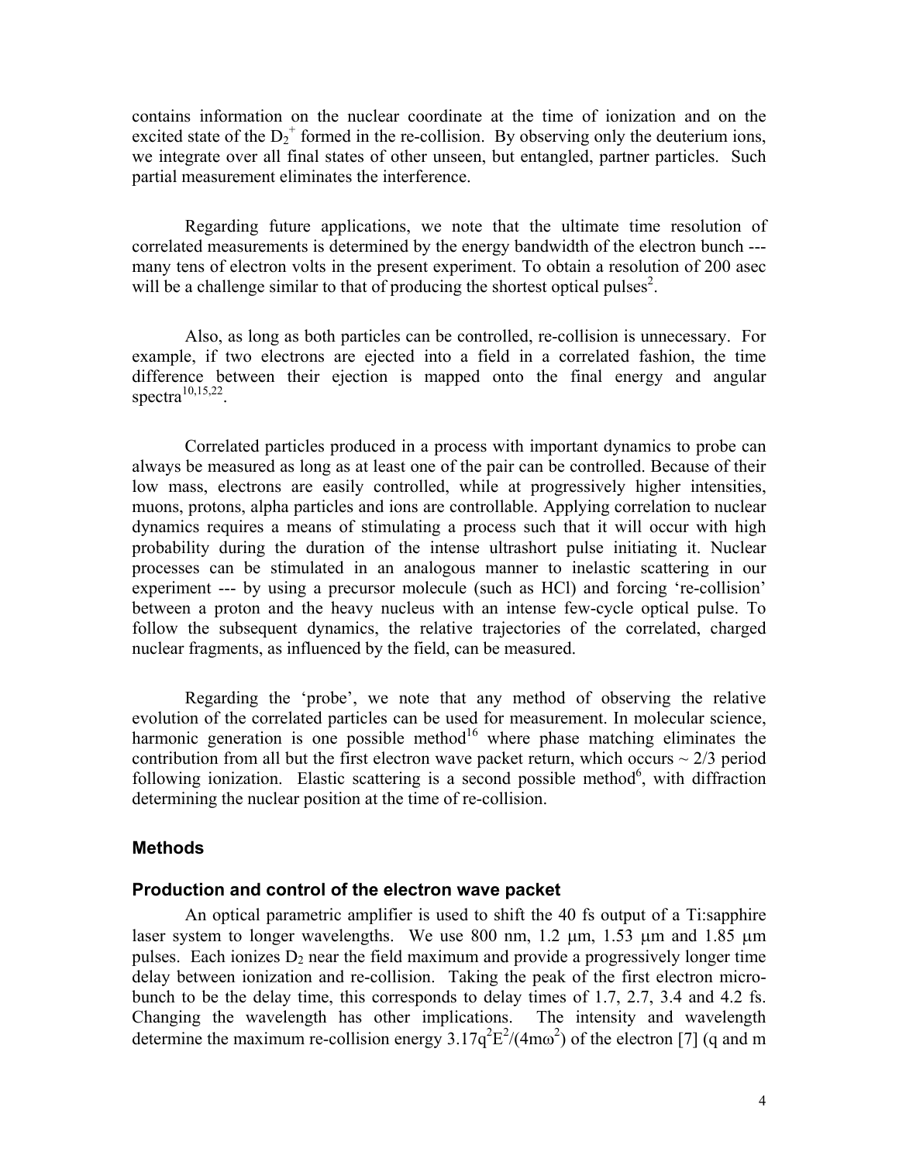contains information on the nuclear coordinate at the time of ionization and on the excited state of the  $D_2^+$  formed in the re-collision. By observing only the deuterium ions, we integrate over all final states of other unseen, but entangled, partner particles. Such partial measurement eliminates the interference.

 Regarding future applications, we note that the ultimate time resolution of correlated measurements is determined by the energy bandwidth of the electron bunch -- many tens of electron volts in the present experiment. To obtain a resolution of 200 asec will be a challenge similar to that of producing the shortest optical pulses<sup>2</sup>.

 Also, as long as both particles can be controlled, re-collision is unnecessary. For example, if two electrons are ejected into a field in a correlated fashion, the time difference between their ejection is mapped onto the final energy and angular spectra<sup>10,15,22</sup>.

 Correlated particles produced in a process with important dynamics to probe can always be measured as long as at least one of the pair can be controlled. Because of their low mass, electrons are easily controlled, while at progressively higher intensities, muons, protons, alpha particles and ions are controllable. Applying correlation to nuclear dynamics requires a means of stimulating a process such that it will occur with high probability during the duration of the intense ultrashort pulse initiating it. Nuclear processes can be stimulated in an analogous manner to inelastic scattering in our experiment --- by using a precursor molecule (such as HCl) and forcing 're-collision' between a proton and the heavy nucleus with an intense few-cycle optical pulse. To follow the subsequent dynamics, the relative trajectories of the correlated, charged nuclear fragments, as influenced by the field, can be measured.

 Regarding the 'probe', we note that any method of observing the relative evolution of the correlated particles can be used for measurement. In molecular science, harmonic generation is one possible method<sup>16</sup> where phase matching eliminates the contribution from all but the first electron wave packet return, which occurs  $\sim$  2/3 period following ionization. Elastic scattering is a second possible method<sup>6</sup>, with diffraction determining the nuclear position at the time of re-collision.

#### **Methods**

#### **Production and control of the electron wave packet**

An optical parametric amplifier is used to shift the 40 fs output of a Ti:sapphire laser system to longer wavelengths. We use 800 nm,  $1.2 \mu m$ ,  $1.53 \mu m$  and  $1.85 \mu m$ pulses. Each ionizes  $D_2$  near the field maximum and provide a progressively longer time delay between ionization and re-collision. Taking the peak of the first electron microbunch to be the delay time, this corresponds to delay times of 1.7, 2.7, 3.4 and 4.2 fs. Changing the wavelength has other implications. The intensity and wavelength determine the maximum re-collision energy  $3.17q^2E^2/(4m\omega^2)$  of the electron [7] (q and m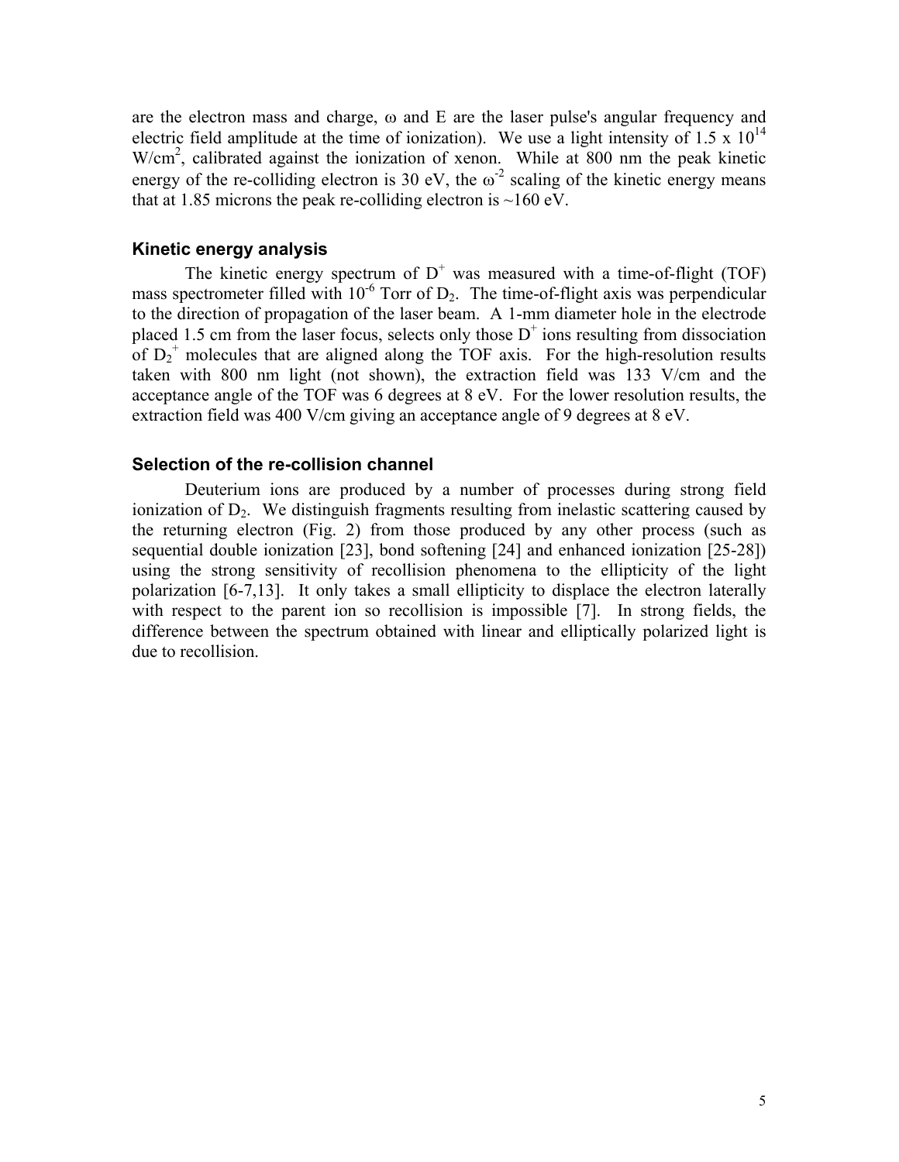are the electron mass and charge, ω and E are the laser pulse's angular frequency and electric field amplitude at the time of ionization). We use a light intensity of 1.5 x  $10^{14}$ W/cm<sup>2</sup>, calibrated against the ionization of xenon. While at 800 nm the peak kinetic energy of the re-colliding electron is 30 eV, the  $\omega^2$  scaling of the kinetic energy means that at 1.85 microns the peak re-colliding electron is  $\sim$ 160 eV.

#### **Kinetic energy analysis**

The kinetic energy spectrum of  $D^+$  was measured with a time-of-flight (TOF) mass spectrometer filled with  $10^{-6}$  Torr of  $D_2$ . The time-of-flight axis was perpendicular to the direction of propagation of the laser beam. A 1-mm diameter hole in the electrode placed 1.5 cm from the laser focus, selects only those  $D^+$  ions resulting from dissociation of  $D_2^+$  molecules that are aligned along the TOF axis. For the high-resolution results taken with 800 nm light (not shown), the extraction field was 133 V/cm and the acceptance angle of the TOF was 6 degrees at 8 eV. For the lower resolution results, the extraction field was 400 V/cm giving an acceptance angle of 9 degrees at 8 eV.

#### **Selection of the re-collision channel**

 Deuterium ions are produced by a number of processes during strong field ionization of  $D_2$ . We distinguish fragments resulting from inelastic scattering caused by the returning electron (Fig. 2) from those produced by any other process (such as sequential double ionization [23], bond softening [24] and enhanced ionization [25-28]) using the strong sensitivity of recollision phenomena to the ellipticity of the light polarization [6-7,13]. It only takes a small ellipticity to displace the electron laterally with respect to the parent ion so recollision is impossible [7]. In strong fields, the difference between the spectrum obtained with linear and elliptically polarized light is due to recollision.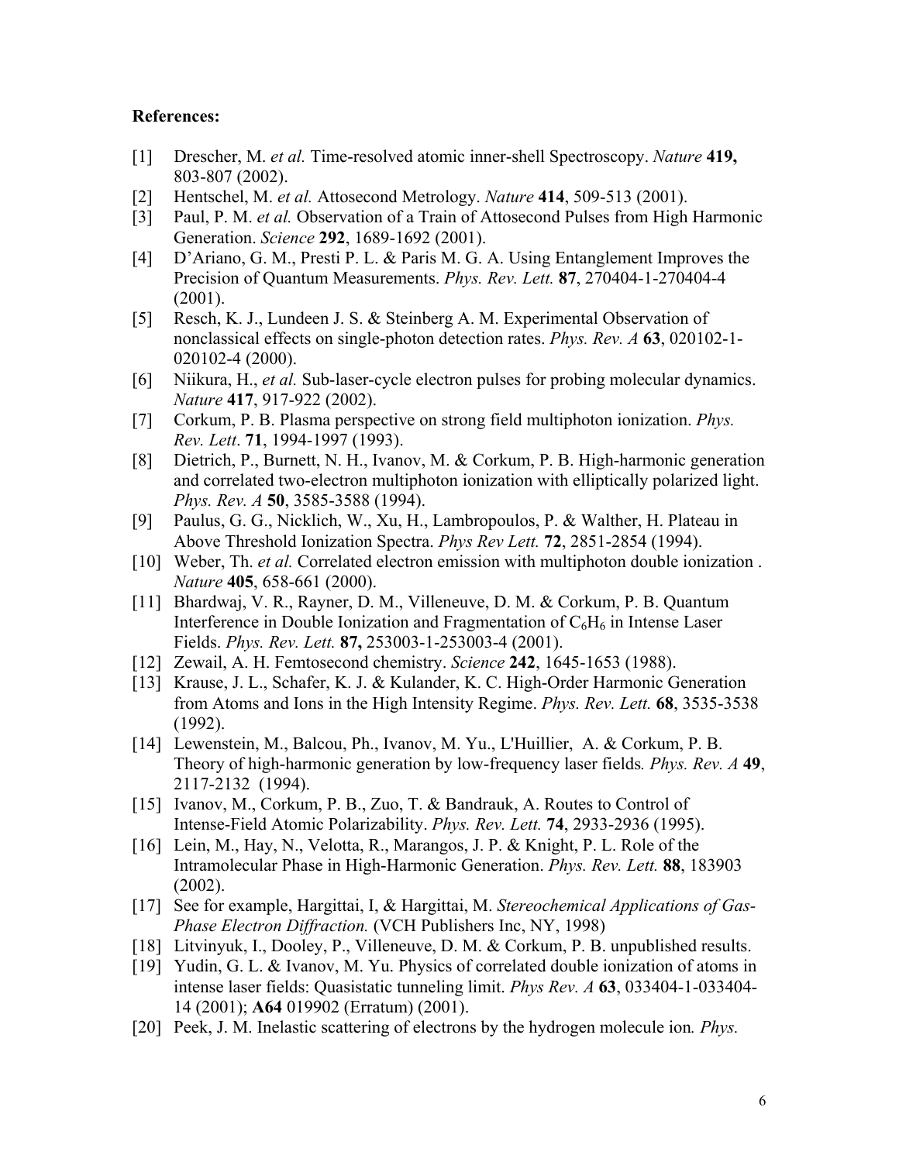#### **References:**

- [1] Drescher, M. *et al.* Time-resolved atomic inner-shell Spectroscopy. *Nature* **419,** 803-807 (2002).
- [2] Hentschel, M. *et al.* Attosecond Metrology. *Nature* **414**, 509-513 (2001).
- [3] Paul, P. M. *et al.* Observation of a Train of Attosecond Pulses from High Harmonic Generation. *Science* **292**, 1689-1692 (2001).
- [4] D'Ariano, G. M., Presti P. L. & Paris M. G. A. Using Entanglement Improves the Precision of Quantum Measurements. *Phys. Rev. Lett.* **87**, 270404-1-270404-4 (2001).
- [5] Resch, K. J., Lundeen J. S. & Steinberg A. M. Experimental Observation of nonclassical effects on single-photon detection rates. *Phys. Rev. A* **63**, 020102-1- 020102-4 (2000).
- [6] Niikura, H., *et al.* Sub-laser-cycle electron pulses for probing molecular dynamics. *Nature* **417**, 917-922 (2002).
- [7] Corkum, P. B. Plasma perspective on strong field multiphoton ionization. *Phys. Rev. Lett*. **71**, 1994-1997 (1993).
- [8] Dietrich, P., Burnett, N. H., Ivanov, M. & Corkum, P. B. High-harmonic generation and correlated two-electron multiphoton ionization with elliptically polarized light. *Phys. Rev. A* **50**, 3585-3588 (1994).
- [9] Paulus, G. G., Nicklich, W., Xu, H., Lambropoulos, P. & Walther, H. Plateau in Above Threshold Ionization Spectra. *Phys Rev Lett.* **72**, 2851-2854 (1994).
- [10] Weber, Th. *et al.* Correlated electron emission with multiphoton double ionization . *Nature* **405**, 658-661 (2000).
- [11] Bhardwaj, V. R., Rayner, D. M., Villeneuve, D. M. & Corkum, P. B. Quantum Interference in Double Ionization and Fragmentation of  $C_6H_6$  in Intense Laser Fields. *Phys. Rev. Lett.* **87,** 253003-1-253003-4 (2001).
- [12] Zewail, A. H. Femtosecond chemistry. *Science* **242**, 1645-1653 (1988).
- [13] Krause, J. L., Schafer, K. J. & Kulander, K. C. High-Order Harmonic Generation from Atoms and Ions in the High Intensity Regime. *Phys. Rev. Lett.* **68**, 3535-3538 (1992).
- [14] Lewenstein, M., Balcou, Ph., Ivanov, M. Yu., L'Huillier, A. & Corkum, P. B. Theory of high-harmonic generation by low-frequency laser fields*. Phys. Rev. A* **49**, 2117-2132 (1994).
- [15] Ivanov, M., Corkum, P. B., Zuo, T. & Bandrauk, A. Routes to Control of Intense-Field Atomic Polarizability. *Phys. Rev. Lett.* **74**, 2933-2936 (1995).
- [16] Lein, M., Hay, N., Velotta, R., Marangos, J. P. & Knight, P. L. Role of the Intramolecular Phase in High-Harmonic Generation. *Phys. Rev. Lett.* **88**, 183903 (2002).
- [17] See for example, Hargittai, I, & Hargittai, M. *Stereochemical Applications of Gas-Phase Electron Diffraction.* (VCH Publishers Inc, NY, 1998)
- [18] Litvinyuk, I., Dooley, P., Villeneuve, D. M. & Corkum, P. B. unpublished results.
- [19] Yudin, G. L. & Ivanov, M. Yu. Physics of correlated double ionization of atoms in intense laser fields: Quasistatic tunneling limit. *Phys Rev. A* **63**, 033404-1-033404- 14 (2001); **A64** 019902 (Erratum) (2001).
- [20] Peek, J. M. Inelastic scattering of electrons by the hydrogen molecule ion*. Phys.*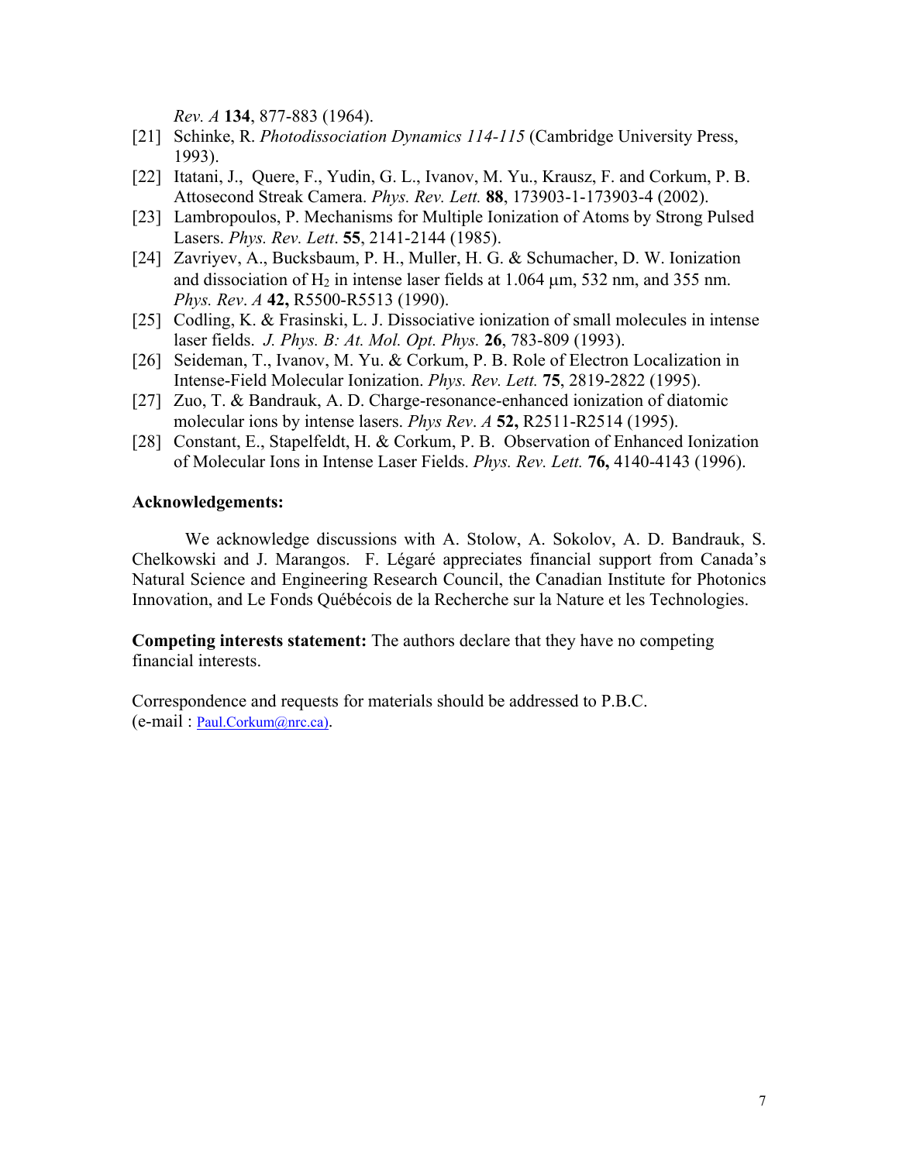*Rev. A* **134**, 877-883 (1964).

- [21] Schinke, R. *Photodissociation Dynamics 114-115* (Cambridge University Press, 1993).
- [22] Itatani, J., Quere, F., Yudin, G. L., Ivanov, M. Yu., Krausz, F. and Corkum, P. B. Attosecond Streak Camera. *Phys. Rev. Lett.* **88**, 173903-1-173903-4 (2002).
- [23] Lambropoulos, P. Mechanisms for Multiple Ionization of Atoms by Strong Pulsed Lasers. *Phys. Rev. Lett*. **55**, 2141-2144 (1985).
- [24] Zavriyev, A., Bucksbaum, P. H., Muller, H. G. & Schumacher, D. W. Ionization and dissociation of  $H_2$  in intense laser fields at 1.064  $\mu$ m, 532 nm, and 355 nm. *Phys. Rev*. *A* **42,** R5500-R5513 (1990).
- [25] Codling, K. & Frasinski, L. J. Dissociative ionization of small molecules in intense laser fields. *J. Phys. B: At. Mol. Opt. Phys.* **26**, 783-809 (1993).
- [26] Seideman, T., Ivanov, M. Yu. & Corkum, P. B. Role of Electron Localization in Intense-Field Molecular Ionization. *Phys. Rev. Lett.* **75**, 2819-2822 (1995).
- [27] Zuo, T. & Bandrauk, A. D. Charge-resonance-enhanced ionization of diatomic molecular ions by intense lasers. *Phys Rev*. *A* **52,** R2511-R2514 (1995).
- [28] Constant, E., Stapelfeldt, H. & Corkum, P. B. Observation of Enhanced Ionization of Molecular Ions in Intense Laser Fields. *Phys. Rev. Lett.* **76,** 4140-4143 (1996).

### **Acknowledgements:**

We acknowledge discussions with A. Stolow, A. Sokolov, A. D. Bandrauk, S. Chelkowski and J. Marangos. F. Légaré appreciates financial support from Canada's Natural Science and Engineering Research Council, the Canadian Institute for Photonics Innovation, and Le Fonds Québécois de la Recherche sur la Nature et les Technologies.

**Competing interests statement:** The authors declare that they have no competing financial interests.

Correspondence and requests for materials should be addressed to P.B.C. (e-mail : [Paul.Corkum@nrc.ca\)](mailto:Paul.Corkum@nrc.ca)).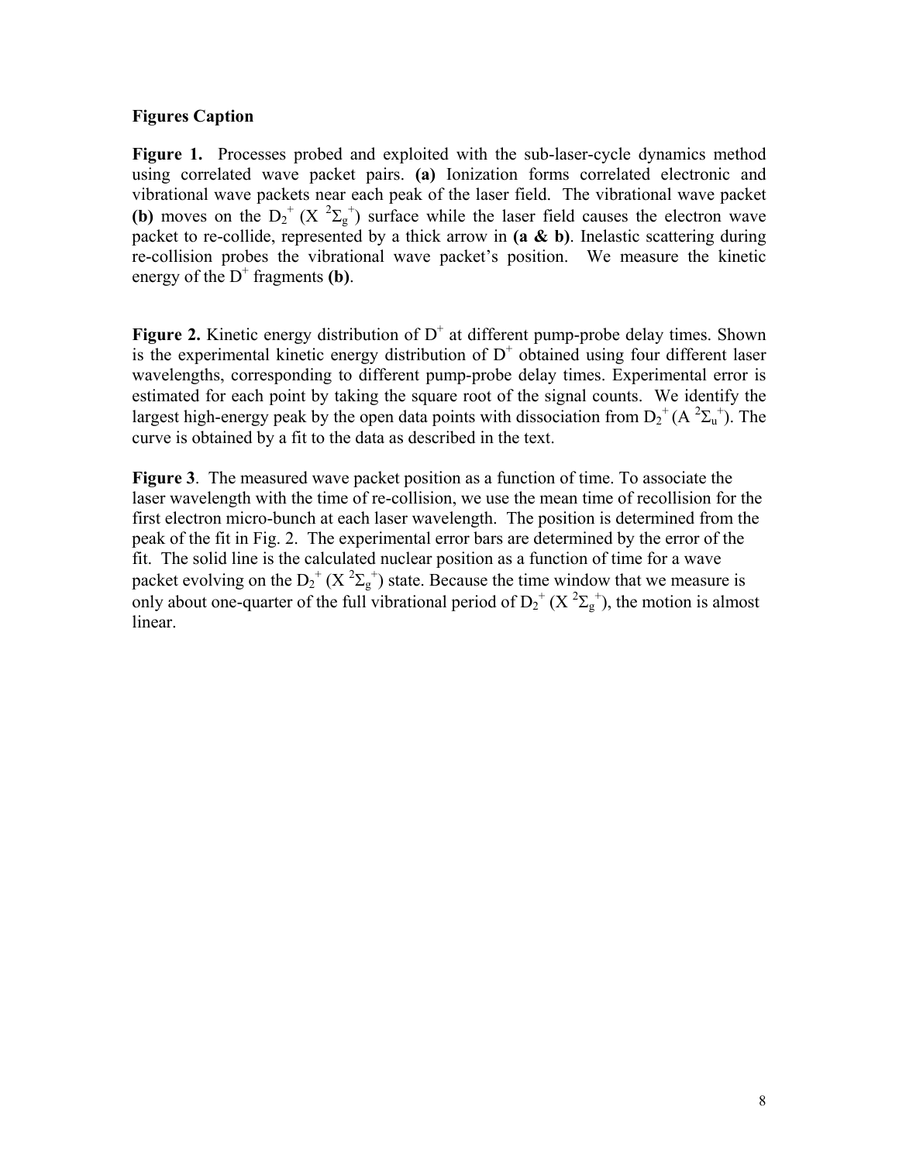# **Figures Caption**

**Figure 1.** Processes probed and exploited with the sub-laser-cycle dynamics method using correlated wave packet pairs. **(a)** Ionization forms correlated electronic and vibrational wave packets near each peak of the laser field. The vibrational wave packet **(b)** moves on the  $D_2^+(X^2\Sigma_g^+)$  surface while the laser field causes the electron wave packet to re-collide, represented by a thick arrow in **(a & b)**. Inelastic scattering during re-collision probes the vibrational wave packet's position. We measure the kinetic energy of the  $D^+$  fragments **(b)**.

**Figure 2.** Kinetic energy distribution of  $D^+$  at different pump-probe delay times. Shown is the experimental kinetic energy distribution of  $D^+$  obtained using four different laser wavelengths, corresponding to different pump-probe delay times. Experimental error is estimated for each point by taking the square root of the signal counts. We identify the largest high-energy peak by the open data points with dissociation from  $D_2^+(A^2\Sigma_u^+)$ . The curve is obtained by a fit to the data as described in the text.

**Figure 3**. The measured wave packet position as a function of time. To associate the laser wavelength with the time of re-collision, we use the mean time of recollision for the first electron micro-bunch at each laser wavelength. The position is determined from the peak of the fit in Fig. 2. The experimental error bars are determined by the error of the fit. The solid line is the calculated nuclear position as a function of time for a wave packet evolving on the  $D_2^+(X^2\Sigma_g^+)$  state. Because the time window that we measure is only about one-quarter of the full vibrational period of  $D_2^+(X^2\Sigma_g^-)$ , the motion is almost linear.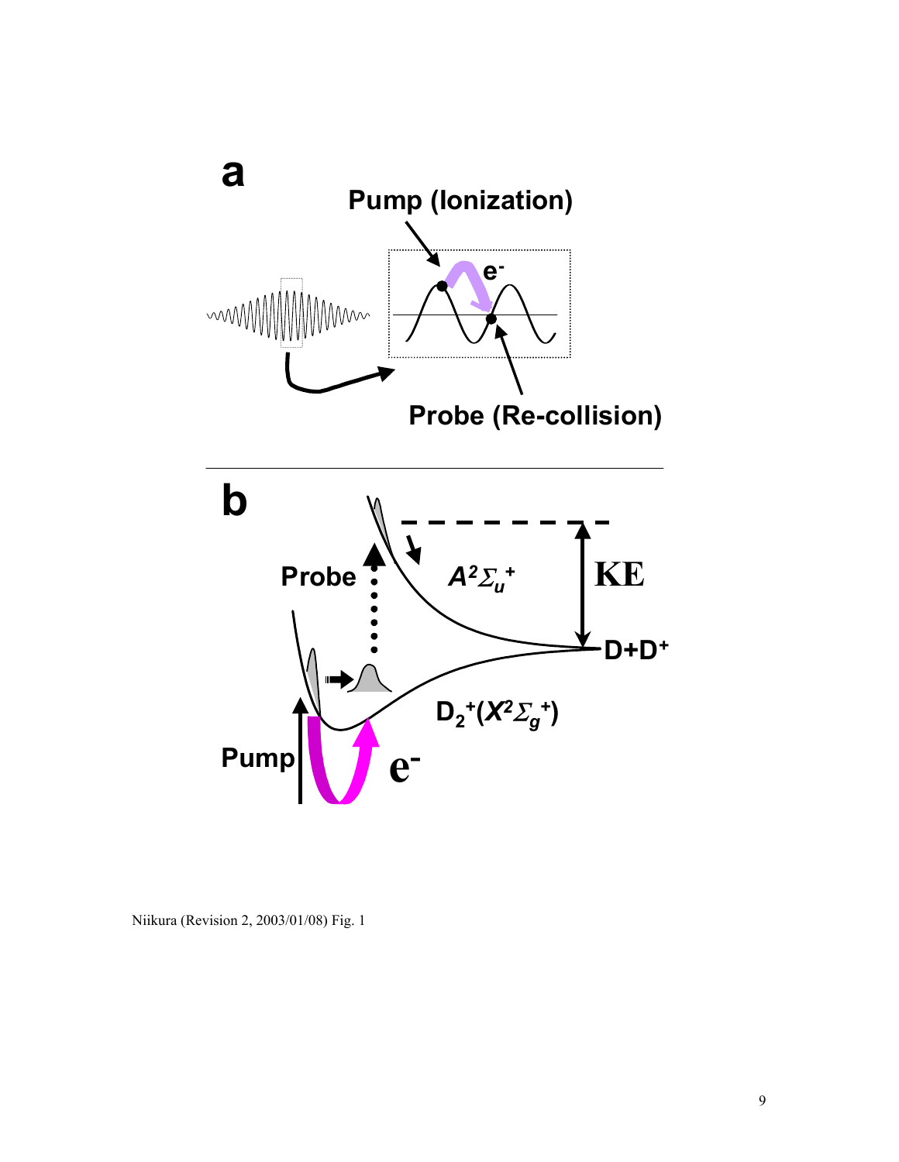

Niikura (Revision 2, 2003/01/08) Fig. 1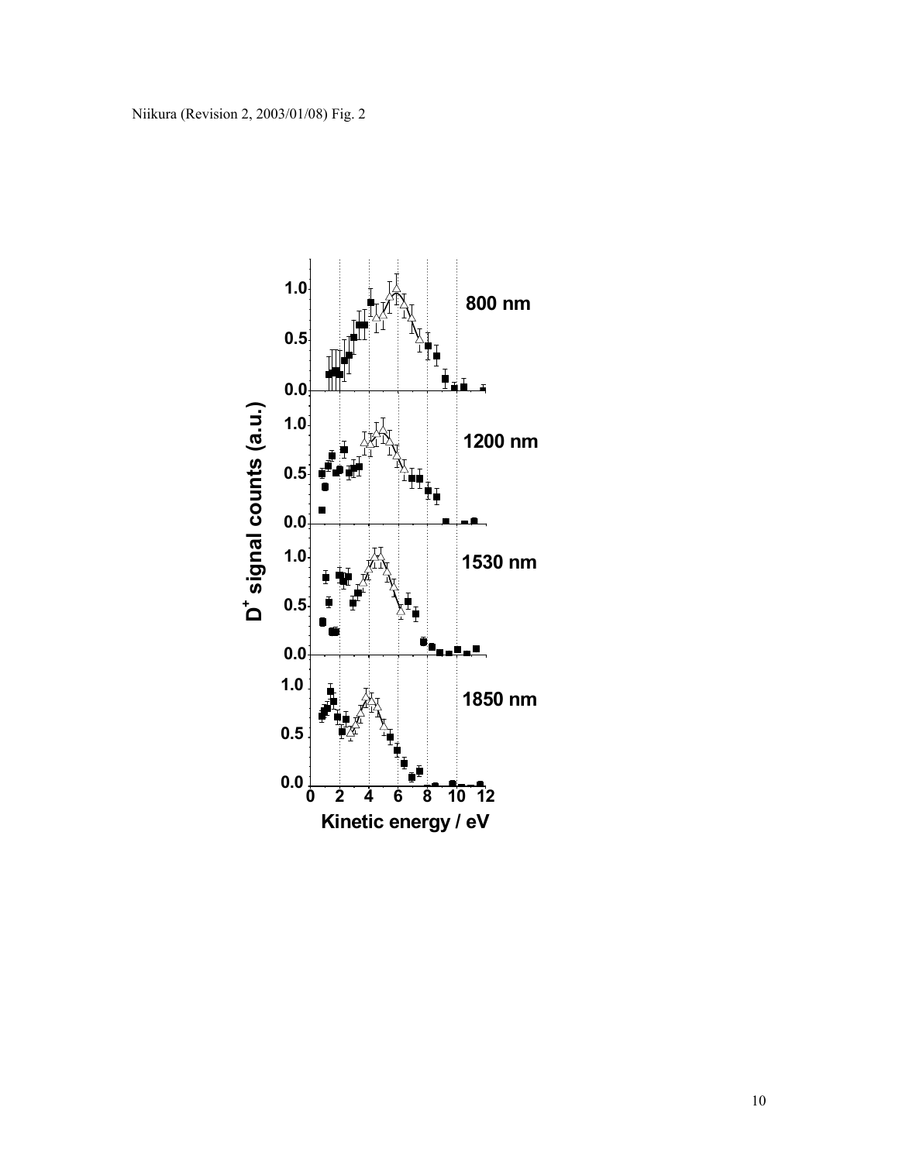